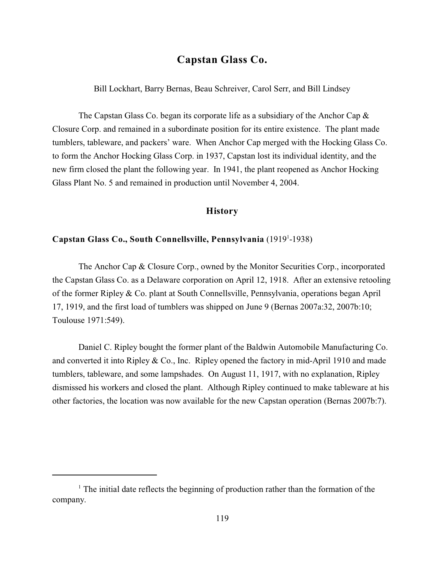# **Capstan Glass Co.**

Bill Lockhart, Barry Bernas, Beau Schreiver, Carol Serr, and Bill Lindsey

The Capstan Glass Co. began its corporate life as a subsidiary of the Anchor Cap  $\&$ Closure Corp. and remained in a subordinate position for its entire existence. The plant made tumblers, tableware, and packers' ware. When Anchor Cap merged with the Hocking Glass Co. to form the Anchor Hocking Glass Corp. in 1937, Capstan lost its individual identity, and the new firm closed the plant the following year. In 1941, the plant reopened as Anchor Hocking Glass Plant No. 5 and remained in production until November 4, 2004.

#### **History**

## **Capstan Glass Co., South Connellsville, Pennsylvania** (1919 -1938) <sup>1</sup>

The Anchor Cap & Closure Corp., owned by the Monitor Securities Corp., incorporated the Capstan Glass Co. as a Delaware corporation on April 12, 1918. After an extensive retooling of the former Ripley & Co. plant at South Connellsville, Pennsylvania, operations began April 17, 1919, and the first load of tumblers was shipped on June 9 (Bernas 2007a:32, 2007b:10; Toulouse 1971:549).

Daniel C. Ripley bought the former plant of the Baldwin Automobile Manufacturing Co. and converted it into Ripley  $& Co.,$  Inc. Ripley opened the factory in mid-April 1910 and made tumblers, tableware, and some lampshades. On August 11, 1917, with no explanation, Ripley dismissed his workers and closed the plant. Although Ripley continued to make tableware at his other factories, the location was now available for the new Capstan operation (Bernas 2007b:7).

 $<sup>1</sup>$ . The initial date reflects the beginning of production rather than the formation of the</sup> company.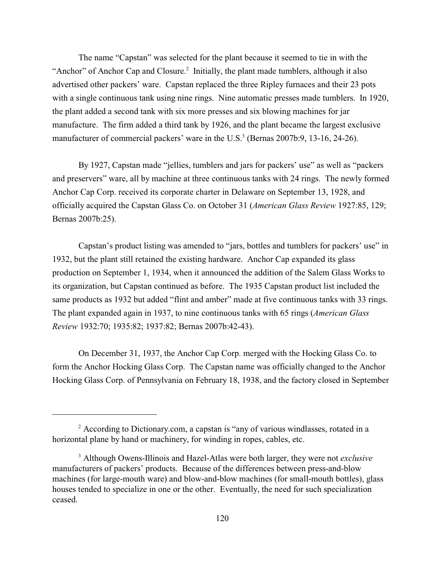The name "Capstan" was selected for the plant because it seemed to tie in with the "Anchor" of Anchor Cap and Closure.<sup>2</sup> Initially, the plant made tumblers, although it also advertised other packers' ware. Capstan replaced the three Ripley furnaces and their 23 pots with a single continuous tank using nine rings. Nine automatic presses made tumblers. In 1920, the plant added a second tank with six more presses and six blowing machines for jar manufacture. The firm added a third tank by 1926, and the plant became the largest exclusive manufacturer of commercial packers' ware in the U.S.<sup>3</sup> (Bernas 2007b:9, 13-16, 24-26).

By 1927, Capstan made "jellies, tumblers and jars for packers' use" as well as "packers and preservers" ware, all by machine at three continuous tanks with 24 rings. The newly formed Anchor Cap Corp. received its corporate charter in Delaware on September 13, 1928, and officially acquired the Capstan Glass Co. on October 31 (*American Glass Review* 1927:85, 129; Bernas 2007b:25).

Capstan's product listing was amended to "jars, bottles and tumblers for packers' use" in 1932, but the plant still retained the existing hardware. Anchor Cap expanded its glass production on September 1, 1934, when it announced the addition of the Salem Glass Works to its organization, but Capstan continued as before. The 1935 Capstan product list included the same products as 1932 but added "flint and amber" made at five continuous tanks with 33 rings. The plant expanded again in 1937, to nine continuous tanks with 65 rings (*American Glass Review* 1932:70; 1935:82; 1937:82; Bernas 2007b:42-43).

On December 31, 1937, the Anchor Cap Corp. merged with the Hocking Glass Co. to form the Anchor Hocking Glass Corp. The Capstan name was officially changed to the Anchor Hocking Glass Corp. of Pennsylvania on February 18, 1938, and the factory closed in September

 $\alpha$  According to Dictionary.com, a capstan is "any of various windlasses, rotated in a horizontal plane by hand or machinery, for winding in ropes, cables, etc.

Although Owens-Illinois and Hazel-Atlas were both larger, they were not *exclusive* <sup>3</sup> manufacturers of packers' products. Because of the differences between press-and-blow machines (for large-mouth ware) and blow-and-blow machines (for small-mouth bottles), glass houses tended to specialize in one or the other. Eventually, the need for such specialization ceased.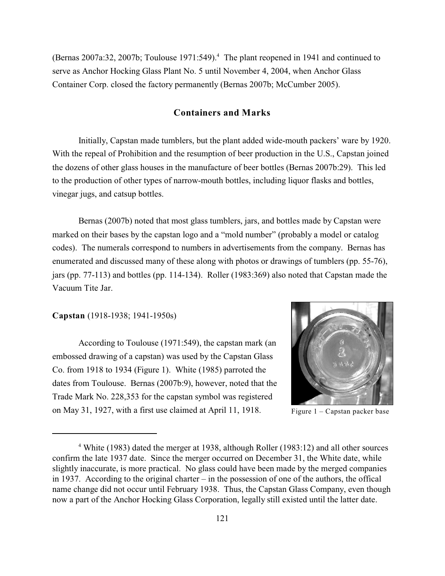(Bernas 2007a:32, 2007b; Toulouse 1971:549).<sup>4</sup> The plant reopened in 1941 and continued to serve as Anchor Hocking Glass Plant No. 5 until November 4, 2004, when Anchor Glass Container Corp. closed the factory permanently (Bernas 2007b; McCumber 2005).

# **Containers and Marks**

Initially, Capstan made tumblers, but the plant added wide-mouth packers' ware by 1920. With the repeal of Prohibition and the resumption of beer production in the U.S., Capstan joined the dozens of other glass houses in the manufacture of beer bottles (Bernas 2007b:29). This led to the production of other types of narrow-mouth bottles, including liquor flasks and bottles, vinegar jugs, and catsup bottles.

Bernas (2007b) noted that most glass tumblers, jars, and bottles made by Capstan were marked on their bases by the capstan logo and a "mold number" (probably a model or catalog codes). The numerals correspond to numbers in advertisements from the company. Bernas has enumerated and discussed many of these along with photos or drawings of tumblers (pp. 55-76), jars (pp. 77-113) and bottles (pp. 114-134). Roller (1983:369) also noted that Capstan made the Vacuum Tite Jar.

**Capstan** (1918-1938; 1941-1950s)

According to Toulouse (1971:549), the capstan mark (an embossed drawing of a capstan) was used by the Capstan Glass Co. from 1918 to 1934 (Figure 1). White (1985) parroted the dates from Toulouse. Bernas (2007b:9), however, noted that the Trade Mark No. 228,353 for the capstan symbol was registered on May 31, 1927, with a first use claimed at April 11, 1918. Figure  $1 -$ Capstan packer base



<sup>&</sup>lt;sup>4</sup> White (1983) dated the merger at 1938, although Roller (1983:12) and all other sources confirm the late 1937 date. Since the merger occurred on December 31, the White date, while slightly inaccurate, is more practical. No glass could have been made by the merged companies in 1937. According to the original charter – in the possession of one of the authors, the offical name change did not occur until February 1938. Thus, the Capstan Glass Company, even though now a part of the Anchor Hocking Glass Corporation, legally still existed until the latter date.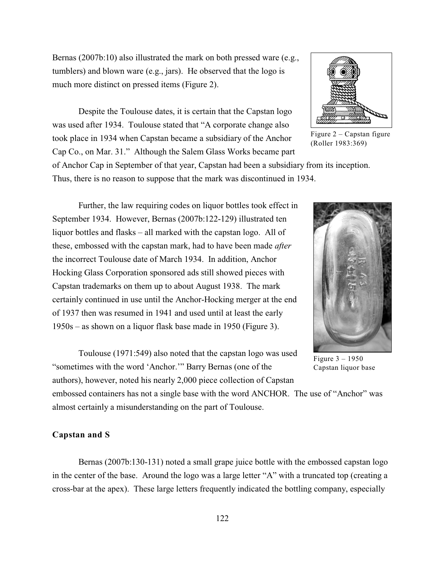Bernas (2007b:10) also illustrated the mark on both pressed ware (e.g., tumblers) and blown ware (e.g., jars). He observed that the logo is much more distinct on pressed items (Figure 2).

Despite the Toulouse dates, it is certain that the Capstan logo was used after 1934. Toulouse stated that "A corporate change also took place in 1934 when Capstan became a subsidiary of the Anchor Cap Co., on Mar. 31." Although the Salem Glass Works became part

of Anchor Cap in September of that year, Capstan had been a subsidiary from its inception. Thus, there is no reason to suppose that the mark was discontinued in 1934.

Further, the law requiring codes on liquor bottles took effect in September 1934. However, Bernas (2007b:122-129) illustrated ten liquor bottles and flasks – all marked with the capstan logo. All of these, embossed with the capstan mark, had to have been made *after* the incorrect Toulouse date of March 1934. In addition, Anchor Hocking Glass Corporation sponsored ads still showed pieces with Capstan trademarks on them up to about August 1938. The mark certainly continued in use until the Anchor-Hocking merger at the end of 1937 then was resumed in 1941 and used until at least the early 1950s – as shown on a liquor flask base made in 1950 (Figure 3).

Toulouse (1971:549) also noted that the capstan logo was used "sometimes with the word 'Anchor.'" Barry Bernas (one of the authors), however, noted his nearly 2,000 piece collection of Capstan

embossed containers has not a single base with the word ANCHOR. The use of "Anchor" was almost certainly a misunderstanding on the part of Toulouse.

# **Capstan and S**

Bernas (2007b:130-131) noted a small grape juice bottle with the embossed capstan logo in the center of the base. Around the logo was a large letter "A" with a truncated top (creating a cross-bar at the apex). These large letters frequently indicated the bottling company, especially



Figure 2 – Capstan figure (Roller 1983:369)



Figure 3 – 1950 Capstan liquor base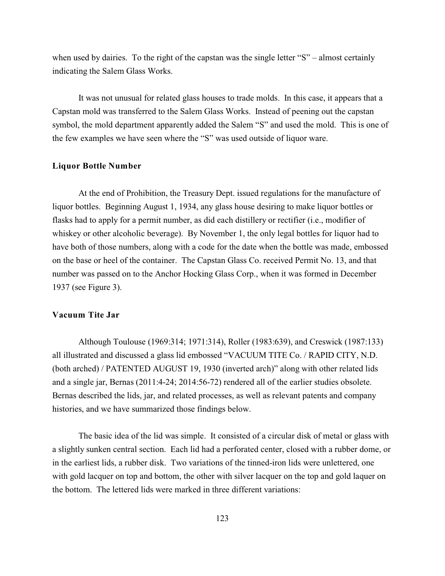when used by dairies. To the right of the capstan was the single letter "S" – almost certainly indicating the Salem Glass Works.

It was not unusual for related glass houses to trade molds. In this case, it appears that a Capstan mold was transferred to the Salem Glass Works. Instead of peening out the capstan symbol, the mold department apparently added the Salem "S" and used the mold. This is one of the few examples we have seen where the "S" was used outside of liquor ware.

## **Liquor Bottle Number**

At the end of Prohibition, the Treasury Dept. issued regulations for the manufacture of liquor bottles. Beginning August 1, 1934, any glass house desiring to make liquor bottles or flasks had to apply for a permit number, as did each distillery or rectifier (i.e., modifier of whiskey or other alcoholic beverage). By November 1, the only legal bottles for liquor had to have both of those numbers, along with a code for the date when the bottle was made, embossed on the base or heel of the container. The Capstan Glass Co. received Permit No. 13, and that number was passed on to the Anchor Hocking Glass Corp., when it was formed in December 1937 (see Figure 3).

## **Vacuum Tite Jar**

Although Toulouse (1969:314; 1971:314), Roller (1983:639), and Creswick (1987:133) all illustrated and discussed a glass lid embossed "VACUUM TITE Co. / RAPID CITY, N.D. (both arched) / PATENTED AUGUST 19, 1930 (inverted arch)" along with other related lids and a single jar, Bernas (2011:4-24; 2014:56-72) rendered all of the earlier studies obsolete. Bernas described the lids, jar, and related processes, as well as relevant patents and company histories, and we have summarized those findings below.

The basic idea of the lid was simple. It consisted of a circular disk of metal or glass with a slightly sunken central section. Each lid had a perforated center, closed with a rubber dome, or in the earliest lids, a rubber disk. Two variations of the tinned-iron lids were unlettered, one with gold lacquer on top and bottom, the other with silver lacquer on the top and gold laquer on the bottom. The lettered lids were marked in three different variations: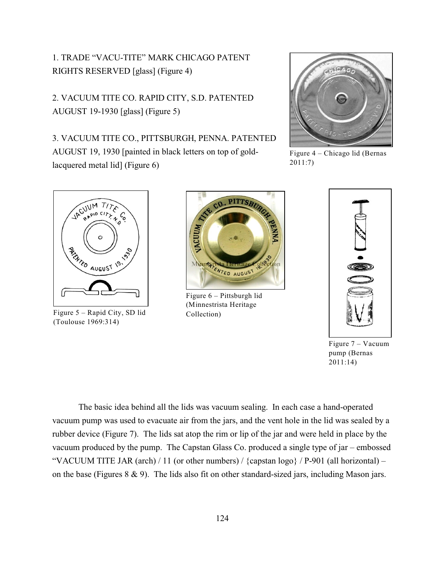1. TRADE "VACU-TITE" MARK CHICAGO PATENT RIGHTS RESERVED [glass] (Figure 4)

2. VACUUM TITE CO. RAPID CITY, S.D. PATENTED AUGUST 19-1930 [glass] (Figure 5)

3. VACUUM TITE CO., PITTSBURGH, PENNA. PATENTED AUGUST 19, 1930 [painted in black letters on top of goldlacquered metal lid] (Figure 6)



Figure 4 – Chicago lid (Bernas 2011:7)



Figure 5 – Rapid City, SD lid Collection) (Toulouse 1969:314)



Figure 6 – Pittsburgh lid (Minnestrista Heritage



Figure 7 – Vacuum pump (Bernas 2011:14)

The basic idea behind all the lids was vacuum sealing. In each case a hand-operated vacuum pump was used to evacuate air from the jars, and the vent hole in the lid was sealed by a rubber device (Figure 7). The lids sat atop the rim or lip of the jar and were held in place by the vacuum produced by the pump. The Capstan Glass Co. produced a single type of jar – embossed "VACUUM TITE JAR (arch) / 11 (or other numbers) / {capstan logo} /  $P-901$  (all horizontal) – on the base (Figures 8 & 9). The lids also fit on other standard-sized jars, including Mason jars.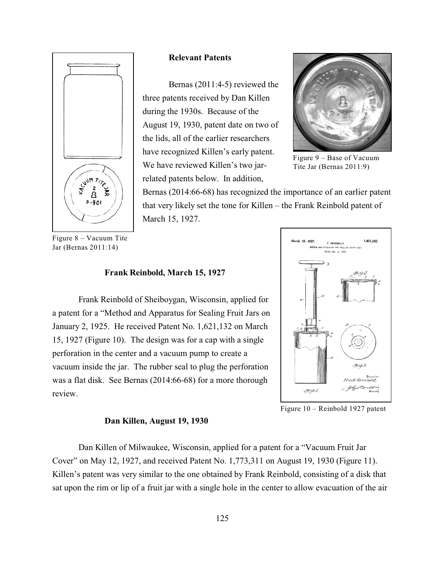

**Relevant Patents**

Bernas (2011:4-5) reviewed the three patents received by Dan Killen during the 1930s. Because of the August 19, 1930, patent date on two of the lids, all of the earlier researchers have recognized Killen's early patent. We have reviewed Killen's two jarrelated patents below. In addition,



Figure 9 – Base of Vacuum Tite Jar (Bernas 2011:9)

Bernas (2014:66-68) has recognized the importance of an earlier patent that very likely set the tone for Killen – the Frank Reinbold patent of March 15, 1927.

Figure 8 – Vacuum Tite Jar (Bernas 2011:14)

#### **Frank Reinbold, March 15, 1927**

Frank Reinbold of Sheiboygan, Wisconsin, applied for a patent for a "Method and Apparatus for Sealing Fruit Jars on January 2, 1925. He received Patent No. 1,621,132 on March 15, 1927 (Figure 10). The design was for a cap with a single perforation in the center and a vacuum pump to create a vacuum inside the jar. The rubber seal to plug the perforation was a flat disk. See Bernas (2014:66-68) for a more thorough review.

#### **Dan Killen, August 19, 1930**

Figure 10 – Reinbold 1927 patent

Dan Killen of Milwaukee, Wisconsin, applied for a patent for a "Vacuum Fruit Jar Cover" on May 12, 1927, and received Patent No. 1,773,311 on August 19, 1930 (Figure 11). Killen's patent was very similar to the one obtained by Frank Reinbold, consisting of a disk that sat upon the rim or lip of a fruit jar with a single hole in the center to allow evacuation of the air

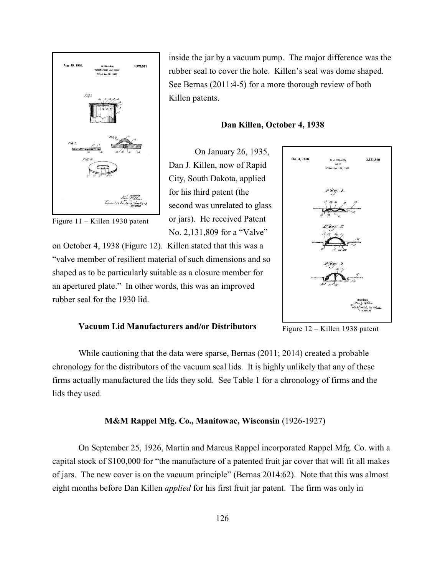

Figure 11 – Killen 1930 patent

inside the jar by a vacuum pump. The major difference was the rubber seal to cover the hole. Killen's seal was dome shaped. See Bernas (2011:4-5) for a more thorough review of both Killen patents.

#### **Dan Killen, October 4, 1938**

On January 26, 1935, Dan J. Killen, now of Rapid City, South Dakota, applied for his third patent (the second was unrelated to glass or jars). He received Patent No. 2,131,809 for a "Valve"

on October 4, 1938 (Figure 12). Killen stated that this was a "valve member of resilient material of such dimensions and so shaped as to be particularly suitable as a closure member for an apertured plate." In other words, this was an improved rubber seal for the 1930 lid.



#### **Vacuum Lid Manufacturers and/or Distributors**

Figure 12 – Killen 1938 patent

While cautioning that the data were sparse, Bernas (2011; 2014) created a probable chronology for the distributors of the vacuum seal lids. It is highly unlikely that any of these firms actually manufactured the lids they sold. See Table 1 for a chronology of firms and the lids they used.

#### **M&M Rappel Mfg. Co., Manitowac, Wisconsin** (1926-1927)

On September 25, 1926, Martin and Marcus Rappel incorporated Rappel Mfg. Co. with a capital stock of \$100,000 for "the manufacture of a patented fruit jar cover that will fit all makes of jars. The new cover is on the vacuum principle" (Bernas 2014:62). Note that this was almost eight months before Dan Killen *applied* for his first fruit jar patent. The firm was only in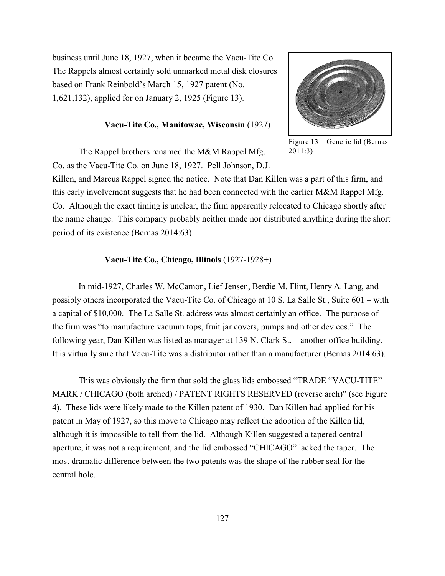business until June 18, 1927, when it became the Vacu-Tite Co. The Rappels almost certainly sold unmarked metal disk closures based on Frank Reinbold's March 15, 1927 patent (No. 1,621,132), applied for on January 2, 1925 (Figure 13).

### **Vacu-Tite Co., Manitowac, Wisconsin** (1927)



Figure 13 – Generic lid (Bernas 2011:3)

The Rappel brothers renamed the M&M Rappel Mfg. Co. as the Vacu-Tite Co. on June 18, 1927. Pell Johnson, D.J.

Killen, and Marcus Rappel signed the notice. Note that Dan Killen was a part of this firm, and this early involvement suggests that he had been connected with the earlier M&M Rappel Mfg. Co. Although the exact timing is unclear, the firm apparently relocated to Chicago shortly after the name change. This company probably neither made nor distributed anything during the short period of its existence (Bernas 2014:63).

#### **Vacu-Tite Co., Chicago, Illinois** (1927-1928+)

In mid-1927, Charles W. McCamon, Lief Jensen, Berdie M. Flint, Henry A. Lang, and possibly others incorporated the Vacu-Tite Co. of Chicago at 10 S. La Salle St., Suite 601 – with a capital of \$10,000. The La Salle St. address was almost certainly an office. The purpose of the firm was "to manufacture vacuum tops, fruit jar covers, pumps and other devices." The following year, Dan Killen was listed as manager at 139 N. Clark St. – another office building. It is virtually sure that Vacu-Tite was a distributor rather than a manufacturer (Bernas 2014:63).

This was obviously the firm that sold the glass lids embossed "TRADE "VACU-TITE" MARK / CHICAGO (both arched) / PATENT RIGHTS RESERVED (reverse arch)" (see Figure 4). These lids were likely made to the Killen patent of 1930. Dan Killen had applied for his patent in May of 1927, so this move to Chicago may reflect the adoption of the Killen lid, although it is impossible to tell from the lid. Although Killen suggested a tapered central aperture, it was not a requirement, and the lid embossed "CHICAGO" lacked the taper. The most dramatic difference between the two patents was the shape of the rubber seal for the central hole.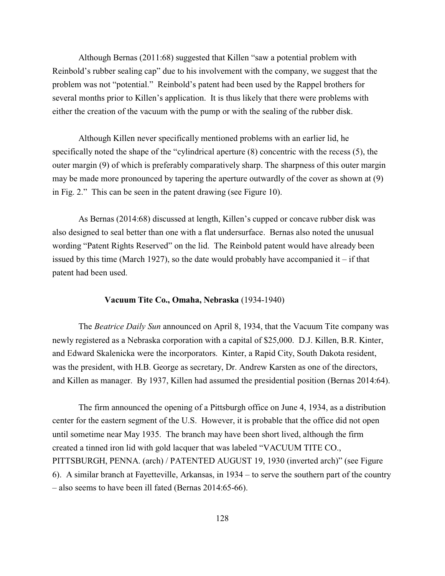Although Bernas (2011:68) suggested that Killen "saw a potential problem with Reinbold's rubber sealing cap" due to his involvement with the company, we suggest that the problem was not "potential." Reinbold's patent had been used by the Rappel brothers for several months prior to Killen's application. It is thus likely that there were problems with either the creation of the vacuum with the pump or with the sealing of the rubber disk.

Although Killen never specifically mentioned problems with an earlier lid, he specifically noted the shape of the "cylindrical aperture (8) concentric with the recess (5), the outer margin (9) of which is preferably comparatively sharp. The sharpness of this outer margin may be made more pronounced by tapering the aperture outwardly of the cover as shown at (9) in Fig. 2." This can be seen in the patent drawing (see Figure 10).

As Bernas (2014:68) discussed at length, Killen's cupped or concave rubber disk was also designed to seal better than one with a flat undersurface. Bernas also noted the unusual wording "Patent Rights Reserved" on the lid. The Reinbold patent would have already been issued by this time (March 1927), so the date would probably have accompanied it – if that patent had been used.

#### **Vacuum Tite Co., Omaha, Nebraska** (1934-1940)

The *Beatrice Daily Sun* announced on April 8, 1934, that the Vacuum Tite company was newly registered as a Nebraska corporation with a capital of \$25,000. D.J. Killen, B.R. Kinter, and Edward Skalenicka were the incorporators. Kinter, a Rapid City, South Dakota resident, was the president, with H.B. George as secretary, Dr. Andrew Karsten as one of the directors, and Killen as manager. By 1937, Killen had assumed the presidential position (Bernas 2014:64).

The firm announced the opening of a Pittsburgh office on June 4, 1934, as a distribution center for the eastern segment of the U.S. However, it is probable that the office did not open until sometime near May 1935. The branch may have been short lived, although the firm created a tinned iron lid with gold lacquer that was labeled "VACUUM TITE CO., PITTSBURGH, PENNA. (arch) / PATENTED AUGUST 19, 1930 (inverted arch)" (see Figure 6). A similar branch at Fayetteville, Arkansas, in 1934 – to serve the southern part of the country – also seems to have been ill fated (Bernas 2014:65-66).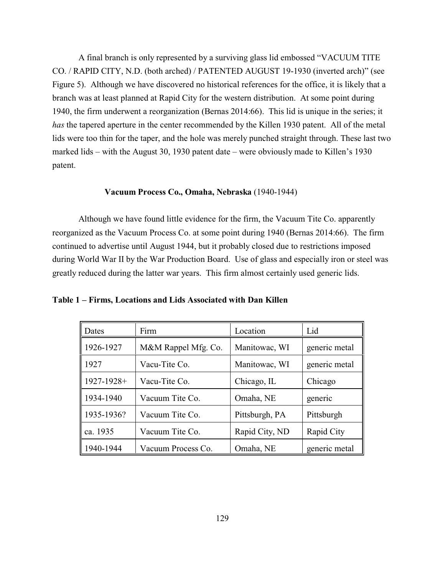A final branch is only represented by a surviving glass lid embossed "VACUUM TITE CO. / RAPID CITY, N.D. (both arched) / PATENTED AUGUST 19-1930 (inverted arch)" (see Figure 5). Although we have discovered no historical references for the office, it is likely that a branch was at least planned at Rapid City for the western distribution. At some point during 1940, the firm underwent a reorganization (Bernas 2014:66). This lid is unique in the series; it *has* the tapered aperture in the center recommended by the Killen 1930 patent. All of the metal lids were too thin for the taper, and the hole was merely punched straight through. These last two marked lids – with the August 30, 1930 patent date – were obviously made to Killen's 1930 patent.

#### **Vacuum Process Co., Omaha, Nebraska** (1940-1944)

Although we have found little evidence for the firm, the Vacuum Tite Co. apparently reorganized as the Vacuum Process Co. at some point during 1940 (Bernas 2014:66). The firm continued to advertise until August 1944, but it probably closed due to restrictions imposed during World War II by the War Production Board. Use of glass and especially iron or steel was greatly reduced during the latter war years. This firm almost certainly used generic lids.

| Dates           | Firm                | Location       | Lid           |
|-----------------|---------------------|----------------|---------------|
| 1926-1927       | M&M Rappel Mfg. Co. | Manitowac, WI  | generic metal |
| 1927            | Vacu-Tite Co.       | Manitowac, WI  | generic metal |
| $1927 - 1928 +$ | Vacu-Tite Co.       | Chicago, IL    | Chicago       |
| 1934-1940       | Vacuum Tite Co.     | Omaha, NE      | generic       |
| 1935-1936?      | Vacuum Tite Co.     | Pittsburgh, PA | Pittsburgh    |
| ca. 1935        | Vacuum Tite Co.     | Rapid City, ND | Rapid City    |
| 1940-1944       | Vacuum Process Co.  | Omaha, NE      | generic metal |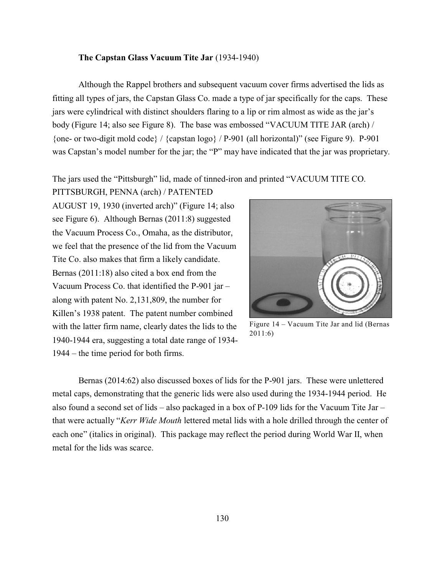## **The Capstan Glass Vacuum Tite Jar** (1934-1940)

Although the Rappel brothers and subsequent vacuum cover firms advertised the lids as fitting all types of jars, the Capstan Glass Co. made a type of jar specifically for the caps. These jars were cylindrical with distinct shoulders flaring to a lip or rim almost as wide as the jar's body (Figure 14; also see Figure 8). The base was embossed "VACUUM TITE JAR (arch) / {one- or two-digit mold code} / {capstan logo} / P-901 (all horizontal)" (see Figure 9). P-901 was Capstan's model number for the jar; the "P" may have indicated that the jar was proprietary.

The jars used the "Pittsburgh" lid, made of tinned-iron and printed "VACUUM TITE CO.

PITTSBURGH, PENNA (arch) / PATENTED AUGUST 19, 1930 (inverted arch)" (Figure 14; also see Figure 6). Although Bernas (2011:8) suggested the Vacuum Process Co., Omaha, as the distributor, we feel that the presence of the lid from the Vacuum Tite Co. also makes that firm a likely candidate. Bernas (2011:18) also cited a box end from the Vacuum Process Co. that identified the P-901 jar – along with patent No. 2,131,809, the number for Killen's 1938 patent. The patent number combined with the latter firm name, clearly dates the lids to the 1940-1944 era, suggesting a total date range of 1934- 1944 – the time period for both firms.



Figure 14 – Vacuum Tite Jar and lid (Bernas 2011:6)

Bernas (2014:62) also discussed boxes of lids for the P-901 jars. These were unlettered metal caps, demonstrating that the generic lids were also used during the 1934-1944 period. He also found a second set of lids – also packaged in a box of P-109 lids for the Vacuum Tite Jar – that were actually "*Kerr Wide Mouth* lettered metal lids with a hole drilled through the center of each one" (italics in original). This package may reflect the period during World War II, when metal for the lids was scarce.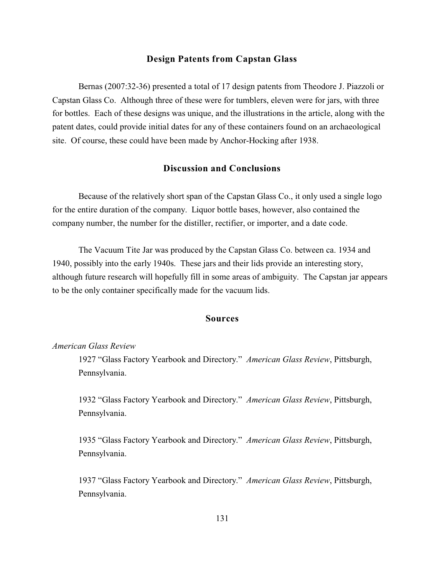## **Design Patents from Capstan Glass**

Bernas (2007:32-36) presented a total of 17 design patents from Theodore J. Piazzoli or Capstan Glass Co. Although three of these were for tumblers, eleven were for jars, with three for bottles. Each of these designs was unique, and the illustrations in the article, along with the patent dates, could provide initial dates for any of these containers found on an archaeological site. Of course, these could have been made by Anchor-Hocking after 1938.

# **Discussion and Conclusions**

Because of the relatively short span of the Capstan Glass Co., it only used a single logo for the entire duration of the company. Liquor bottle bases, however, also contained the company number, the number for the distiller, rectifier, or importer, and a date code.

The Vacuum Tite Jar was produced by the Capstan Glass Co. between ca. 1934 and 1940, possibly into the early 1940s. These jars and their lids provide an interesting story, although future research will hopefully fill in some areas of ambiguity. The Capstan jar appears to be the only container specifically made for the vacuum lids.

# **Sources**

## *American Glass Review*

1927 "Glass Factory Yearbook and Directory." *American Glass Review*, Pittsburgh, Pennsylvania.

1932 "Glass Factory Yearbook and Directory." *American Glass Review*, Pittsburgh, Pennsylvania.

1935 "Glass Factory Yearbook and Directory." *American Glass Review*, Pittsburgh, Pennsylvania.

1937 "Glass Factory Yearbook and Directory." *American Glass Review*, Pittsburgh, Pennsylvania.